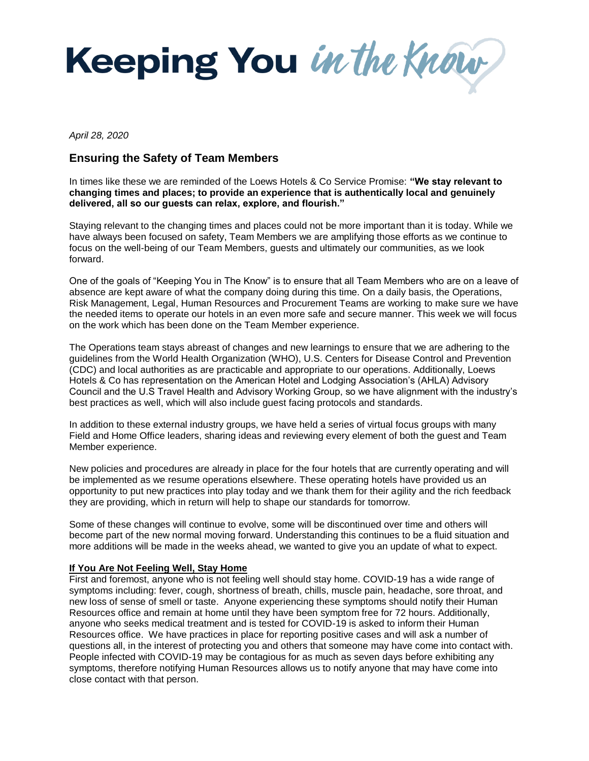

*April 28, 2020* 

# **Ensuring the Safety of Team Members**

In times like these we are reminded of the Loews Hotels & Co Service Promise: **"We stay relevant to changing times and places; to provide an experience that is authentically local and genuinely delivered, all so our guests can relax, explore, and flourish."** 

Staying relevant to the changing times and places could not be more important than it is today. While we have always been focused on safety, Team Members we are amplifying those efforts as we continue to focus on the well-being of our Team Members, guests and ultimately our communities, as we look forward.

One of the goals of "Keeping You in The Know" is to ensure that all Team Members who are on a leave of absence are kept aware of what the company doing during this time. On a daily basis, the Operations, Risk Management, Legal, Human Resources and Procurement Teams are working to make sure we have the needed items to operate our hotels in an even more safe and secure manner. This week we will focus on the work which has been done on the Team Member experience.

The Operations team stays abreast of changes and new learnings to ensure that we are adhering to the guidelines from the World Health Organization (WHO), U.S. Centers for Disease Control and Prevention (CDC) and local authorities as are practicable and appropriate to our operations. Additionally, Loews Hotels & Co has representation on the American Hotel and Lodging Association's (AHLA) Advisory Council and the U.S Travel Health and Advisory Working Group, so we have alignment with the industry's best practices as well, which will also include guest facing protocols and standards.

In addition to these external industry groups, we have held a series of virtual focus groups with many Field and Home Office leaders, sharing ideas and reviewing every element of both the guest and Team Member experience.

New policies and procedures are already in place for the four hotels that are currently operating and will be implemented as we resume operations elsewhere. These operating hotels have provided us an opportunity to put new practices into play today and we thank them for their agility and the rich feedback they are providing, which in return will help to shape our standards for tomorrow.

Some of these changes will continue to evolve, some will be discontinued over time and others will become part of the new normal moving forward. Understanding this continues to be a fluid situation and more additions will be made in the weeks ahead, we wanted to give you an update of what to expect.

# **If You Are Not Feeling Well, Stay Home**

First and foremost, anyone who is not feeling well should stay home. COVID-19 has a wide range of symptoms including: fever, cough, shortness of breath, chills, muscle pain, headache, sore throat, and new loss of sense of smell or taste. Anyone experiencing these symptoms should notify their Human Resources office and remain at home until they have been symptom free for 72 hours. Additionally, anyone who seeks medical treatment and is tested for COVID-19 is asked to inform their Human Resources office. We have practices in place for reporting positive cases and will ask a number of questions all, in the interest of protecting you and others that someone may have come into contact with. People infected with COVID-19 may be contagious for as much as seven days before exhibiting any symptoms, therefore notifying Human Resources allows us to notify anyone that may have come into close contact with that person.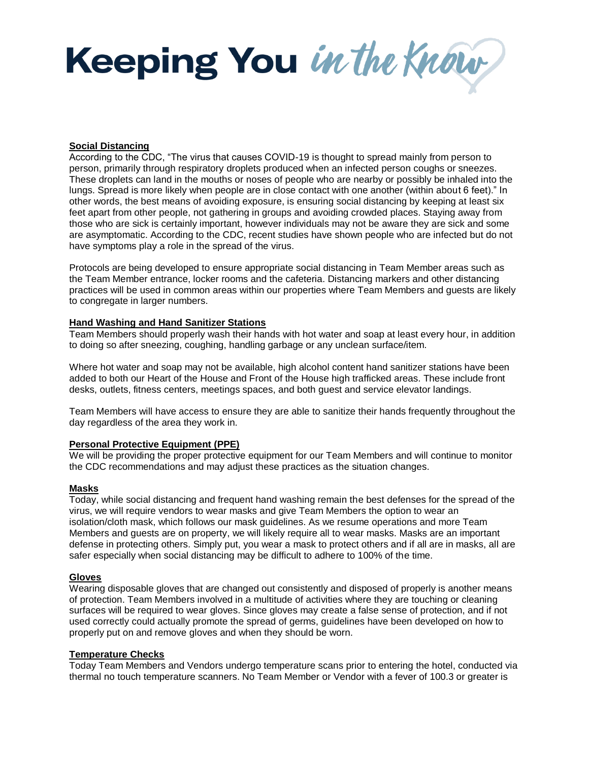Keeping You in the Know

# **Social Distancing**

According to the CDC, "The virus that causes COVID-19 is thought to spread mainly from person to person, primarily through respiratory droplets produced when an infected person coughs or sneezes. These droplets can land in the mouths or noses of people who are nearby or possibly be inhaled into the lungs. Spread is more likely when people are in close contact with one another (within about 6 feet)." In other words, the best means of avoiding exposure, is ensuring social distancing by keeping at least six feet apart from other people, not gathering in groups and avoiding crowded places. Staying away from those who are sick is certainly important, however individuals may not be aware they are sick and some are asymptomatic. According to the CDC, recent studies have shown people who are infected but do not have symptoms play a role in the spread of the virus.

Protocols are being developed to ensure appropriate social distancing in Team Member areas such as the Team Member entrance, locker rooms and the cafeteria. Distancing markers and other distancing practices will be used in common areas within our properties where Team Members and guests are likely to congregate in larger numbers.

#### **Hand Washing and Hand Sanitizer Stations**

Team Members should properly wash their hands with hot water and soap at least every hour, in addition to doing so after sneezing, coughing, handling garbage or any unclean surface/item.

Where hot water and soap may not be available, high alcohol content hand sanitizer stations have been added to both our Heart of the House and Front of the House high trafficked areas. These include front desks, outlets, fitness centers, meetings spaces, and both guest and service elevator landings.

Team Members will have access to ensure they are able to sanitize their hands frequently throughout the day regardless of the area they work in.

# **Personal Protective Equipment (PPE)**

We will be providing the proper protective equipment for our Team Members and will continue to monitor the CDC recommendations and may adjust these practices as the situation changes.

#### **Masks**

Today, while social distancing and frequent hand washing remain the best defenses for the spread of the virus, we will require vendors to wear masks and give Team Members the option to wear an isolation/cloth mask, which follows our mask guidelines. As we resume operations and more Team Members and guests are on property, we will likely require all to wear masks. Masks are an important defense in protecting others. Simply put, you wear a mask to protect others and if all are in masks, all are safer especially when social distancing may be difficult to adhere to 100% of the time.

#### **Gloves**

Wearing disposable gloves that are changed out consistently and disposed of properly is another means of protection. Team Members involved in a multitude of activities where they are touching or cleaning surfaces will be required to wear gloves. Since gloves may create a false sense of protection, and if not used correctly could actually promote the spread of germs, guidelines have been developed on how to properly put on and remove gloves and when they should be worn.

## **Temperature Checks**

Today Team Members and Vendors undergo temperature scans prior to entering the hotel, conducted via thermal no touch temperature scanners. No Team Member or Vendor with a fever of 100.3 or greater is